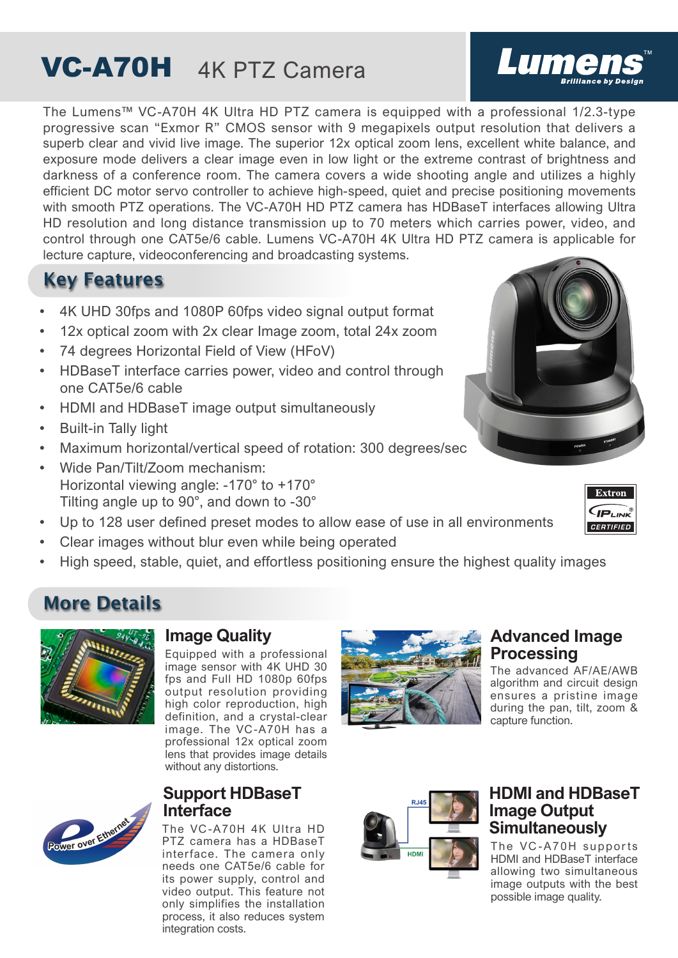## VC-A70H 4K PTZ Camera

The Lumens™ VC-A70H 4K Ultra HD PTZ camera is equipped with a professional 1/2.3-type progressive scan "Exmor R" CMOS sensor with 9 megapixels output resolution that delivers a superb clear and vivid live image. The superior 12x optical zoom lens, excellent white balance, and exposure mode delivers a clear image even in low light or the extreme contrast of brightness and darkness of a conference room. The camera covers a wide shooting angle and utilizes a highly efficient DC motor servo controller to achieve high-speed, quiet and precise positioning movements with smooth PTZ operations. The VC-A70H HD PTZ camera has HDBaseT interfaces allowing Ultra HD resolution and long distance transmission up to 70 meters which carries power, video, and control through one CAT5e/6 cable. Lumens VC-A70H 4K Ultra HD PTZ camera is applicable for lecture capture, videoconferencing and broadcasting systems.

## Key Features

- 4K UHD 30fps and 1080P 60fps video signal output format
- 12x optical zoom with 2x clear Image zoom, total 24x zoom
- 74 degrees Horizontal Field of View (HFoV)
- HDBaseT interface carries power, video and control through one CAT5e/6 cable
- HDMI and HDBaseT image output simultaneously
- Built-in Tally light
- Maximum horizontal/vertical speed of rotation: 300 degrees/sec
- Wide Pan/Tilt/Zoom mechanism: Horizontal viewing angle: -170° to +170° Tilting angle up to 90°, and down to -30°
- Up to 128 user defined preset modes to allow ease of use in all environments
- Clear images without blur even while being operated
- High speed, stable, quiet, and effortless positioning ensure the highest quality images

## More Details



**<sup>P</sup>owe<sup>r</sup> <sup>o</sup>ve<sup>r</sup> <sup>E</sup>therne<sup>t</sup>**

#### **Image Quality**

Equipped with a professional image sensor with 4K UHD 30 fps and Full HD 1080p 60fps output resolution providing high color reproduction, high definition, and a crystal-clear image. The VC-A70H has a professional 12x optical zoom lens that provides image details without any distortions.

#### **Support HDBaseT Interface**

The VC -A70H 4K Ultra HD PTZ camera has a HDBaseT interface. The camera only needs one CAT5e/6 cable for its power supply, control and video output. This feature not only simplifies the installation process, it also reduces system integration costs.



#### **Advanced Image Processing**

The advanced AF/AE/AWB algorithm and circuit design ensures a pristine image during the pan, tilt, zoom & capture function.



#### **HDMI and HDBaseT Image Output Simultaneously**

The VC-A70H supports HDMI and HDBaseT interface allowing two simultaneous image outputs with the best possible image quality.